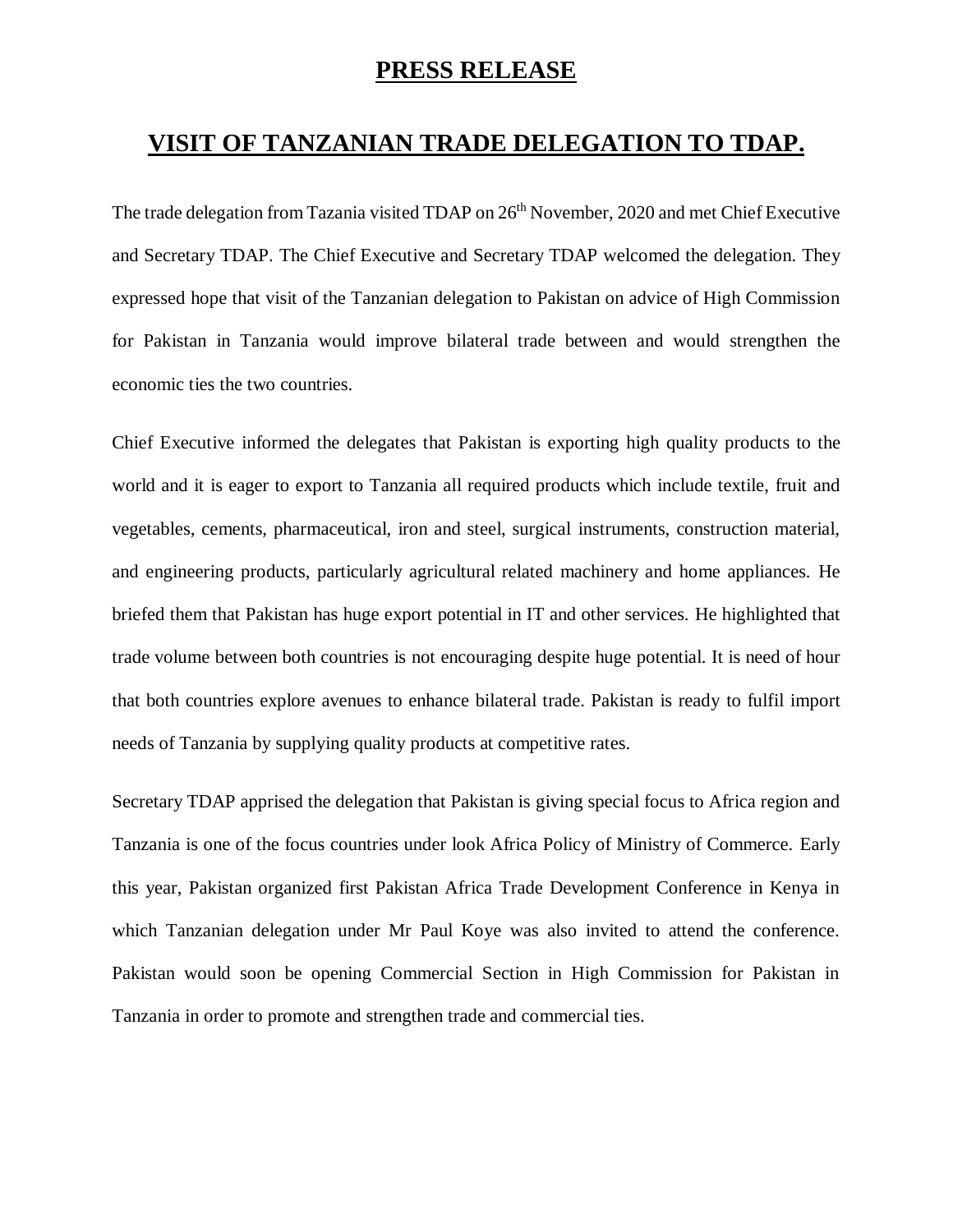## **PRESS RELEASE**

## **VISIT OF TANZANIAN TRADE DELEGATION TO TDAP.**

The trade delegation from Tazania visited TDAP on 26<sup>th</sup> November, 2020 and met Chief Executive and Secretary TDAP. The Chief Executive and Secretary TDAP welcomed the delegation. They expressed hope that visit of the Tanzanian delegation to Pakistan on advice of High Commission for Pakistan in Tanzania would improve bilateral trade between and would strengthen the economic ties the two countries.

Chief Executive informed the delegates that Pakistan is exporting high quality products to the world and it is eager to export to Tanzania all required products which include textile, fruit and vegetables, cements, pharmaceutical, iron and steel, surgical instruments, construction material, and engineering products, particularly agricultural related machinery and home appliances. He briefed them that Pakistan has huge export potential in IT and other services. He highlighted that trade volume between both countries is not encouraging despite huge potential. It is need of hour that both countries explore avenues to enhance bilateral trade. Pakistan is ready to fulfil import needs of Tanzania by supplying quality products at competitive rates.

Secretary TDAP apprised the delegation that Pakistan is giving special focus to Africa region and Tanzania is one of the focus countries under look Africa Policy of Ministry of Commerce. Early this year, Pakistan organized first Pakistan Africa Trade Development Conference in Kenya in which Tanzanian delegation under Mr Paul Koye was also invited to attend the conference. Pakistan would soon be opening Commercial Section in High Commission for Pakistan in Tanzania in order to promote and strengthen trade and commercial ties.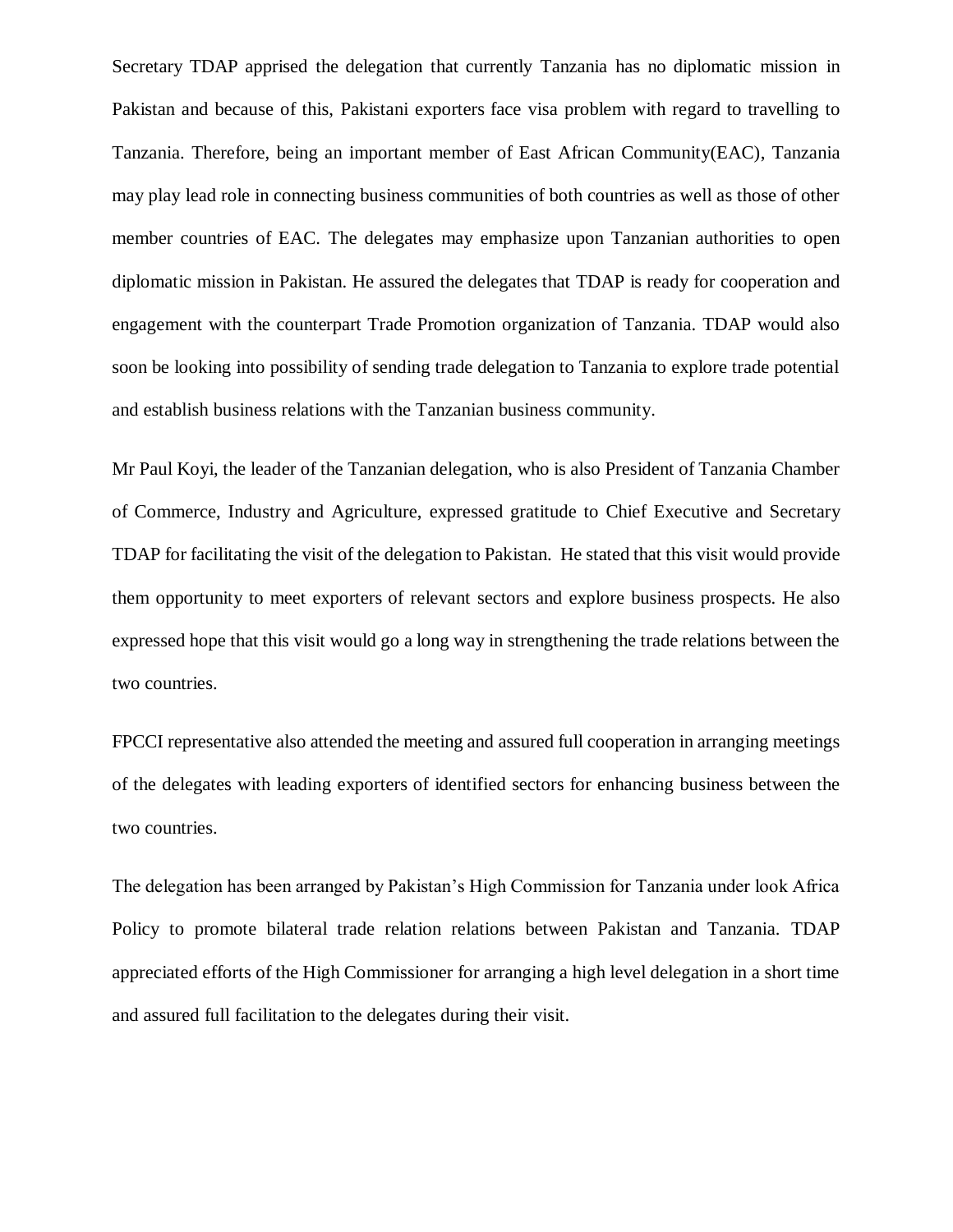Secretary TDAP apprised the delegation that currently Tanzania has no diplomatic mission in Pakistan and because of this, Pakistani exporters face visa problem with regard to travelling to Tanzania. Therefore, being an important member of East African Community(EAC), Tanzania may play lead role in connecting business communities of both countries as well as those of other member countries of EAC. The delegates may emphasize upon Tanzanian authorities to open diplomatic mission in Pakistan. He assured the delegates that TDAP is ready for cooperation and engagement with the counterpart Trade Promotion organization of Tanzania. TDAP would also soon be looking into possibility of sending trade delegation to Tanzania to explore trade potential and establish business relations with the Tanzanian business community.

Mr Paul Koyi, the leader of the Tanzanian delegation, who is also President of Tanzania Chamber of Commerce, Industry and Agriculture, expressed gratitude to Chief Executive and Secretary TDAP for facilitating the visit of the delegation to Pakistan. He stated that this visit would provide them opportunity to meet exporters of relevant sectors and explore business prospects. He also expressed hope that this visit would go a long way in strengthening the trade relations between the two countries.

FPCCI representative also attended the meeting and assured full cooperation in arranging meetings of the delegates with leading exporters of identified sectors for enhancing business between the two countries.

The delegation has been arranged by Pakistan's High Commission for Tanzania under look Africa Policy to promote bilateral trade relation relations between Pakistan and Tanzania. TDAP appreciated efforts of the High Commissioner for arranging a high level delegation in a short time and assured full facilitation to the delegates during their visit.